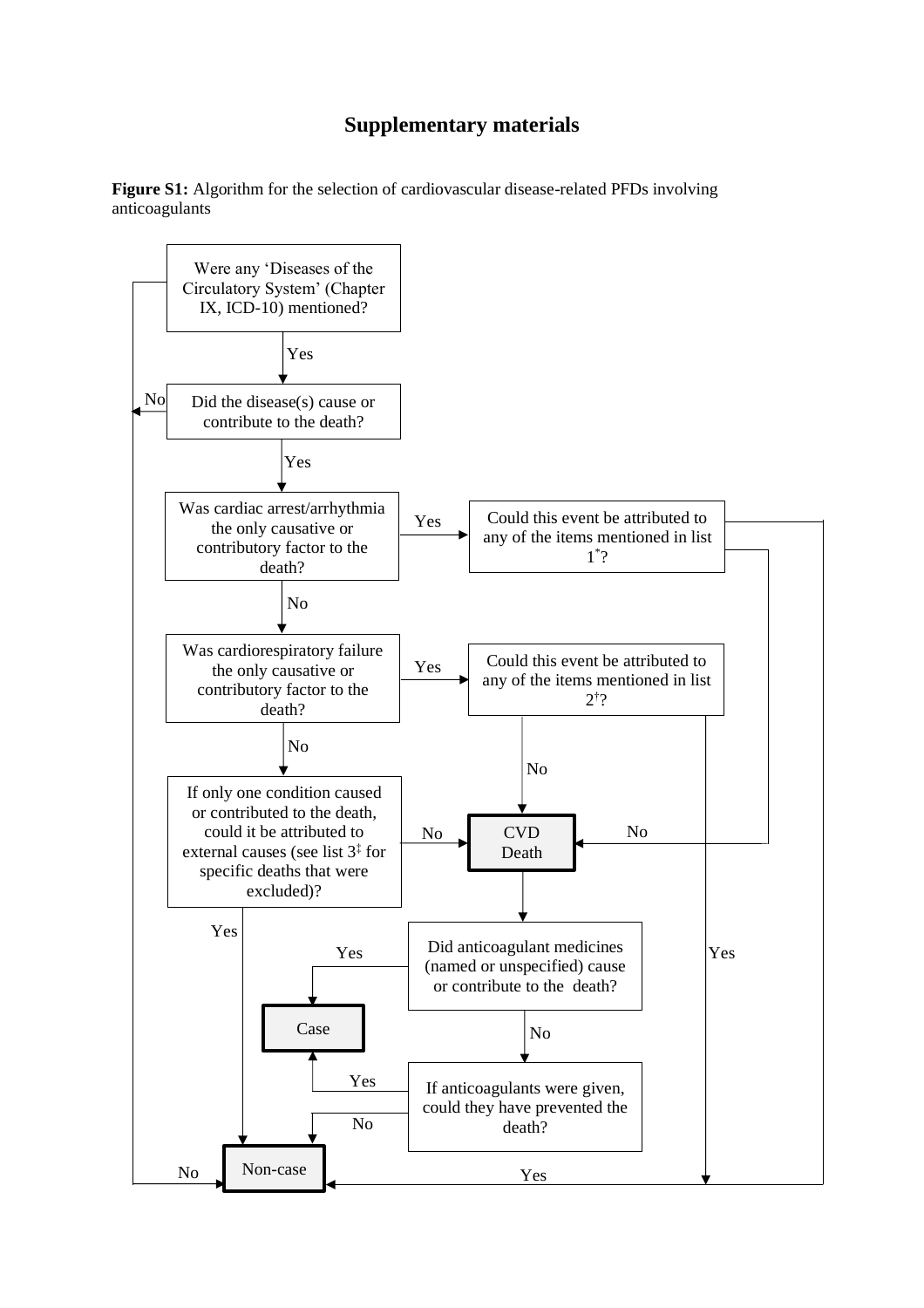## **Supplementary materials**

**Figure S1:** Algorithm for the selection of cardiovascular disease-related PFDs involving anticoagulants

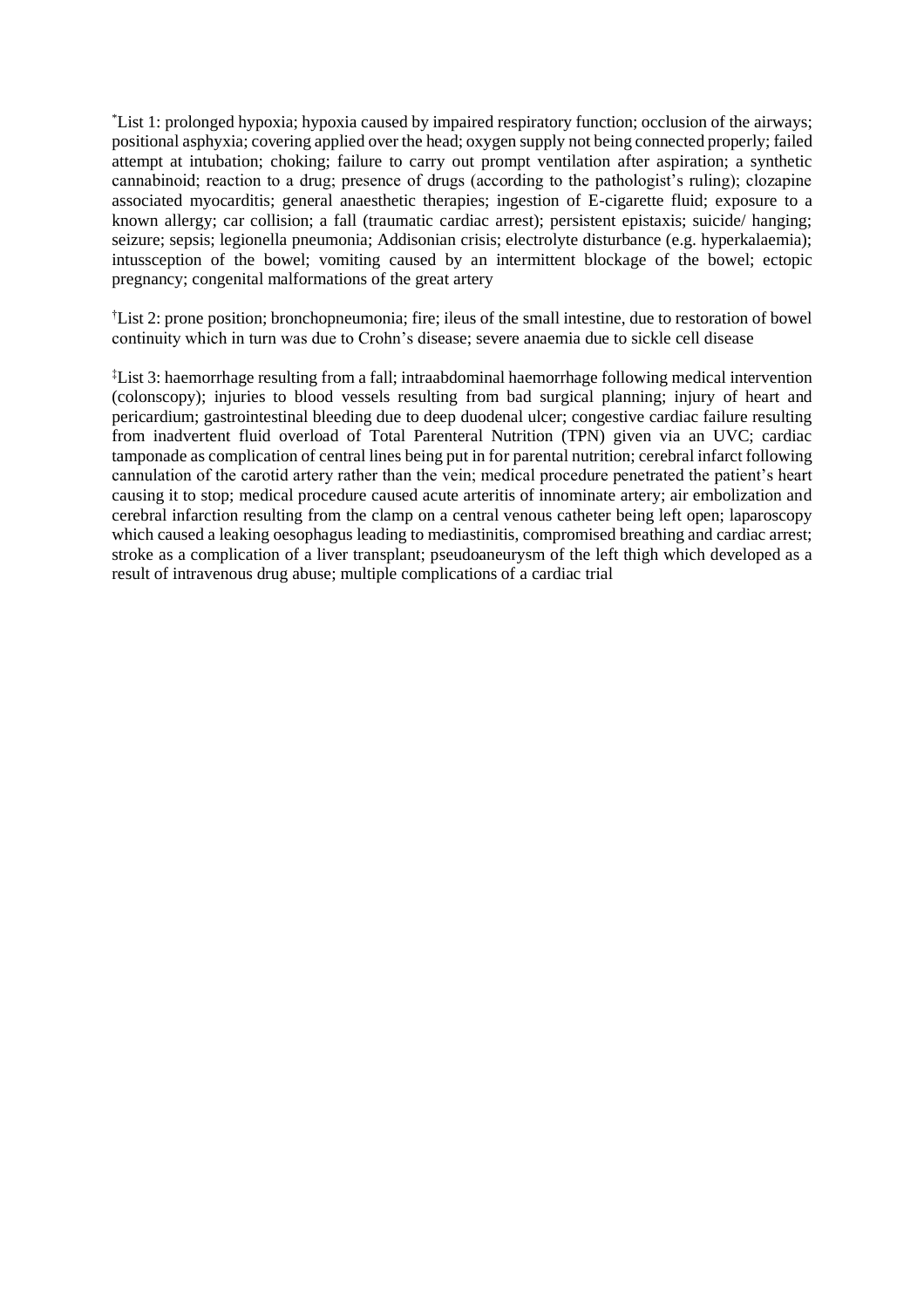\*List 1: prolonged hypoxia; hypoxia caused by impaired respiratory function; occlusion of the airways; positional asphyxia; covering applied over the head; oxygen supply not being connected properly; failed attempt at intubation; choking; failure to carry out prompt ventilation after aspiration; a synthetic cannabinoid; reaction to a drug; presence of drugs (according to the pathologist's ruling); clozapine associated myocarditis; general anaesthetic therapies; ingestion of E-cigarette fluid; exposure to a known allergy; car collision; a fall (traumatic cardiac arrest); persistent epistaxis; suicide/ hanging; seizure; sepsis; legionella pneumonia; Addisonian crisis; electrolyte disturbance (e.g. hyperkalaemia); intussception of the bowel; vomiting caused by an intermittent blockage of the bowel; ectopic pregnancy; congenital malformations of the great artery

†List 2: prone position; bronchopneumonia; fire; ileus of the small intestine, due to restoration of bowel continuity which in turn was due to Crohn's disease; severe anaemia due to sickle cell disease

‡List 3: haemorrhage resulting from a fall; intraabdominal haemorrhage following medical intervention (colonscopy); injuries to blood vessels resulting from bad surgical planning; injury of heart and pericardium; gastrointestinal bleeding due to deep duodenal ulcer; congestive cardiac failure resulting from inadvertent fluid overload of Total Parenteral Nutrition (TPN) given via an UVC; cardiac tamponade as complication of central lines being put in for parental nutrition; cerebral infarct following cannulation of the carotid artery rather than the vein; medical procedure penetrated the patient's heart causing it to stop; medical procedure caused acute arteritis of innominate artery; air embolization and cerebral infarction resulting from the clamp on a central venous catheter being left open; laparoscopy which caused a leaking oesophagus leading to mediastinitis, compromised breathing and cardiac arrest; stroke as a complication of a liver transplant; pseudoaneurysm of the left thigh which developed as a result of intravenous drug abuse; multiple complications of a cardiac trial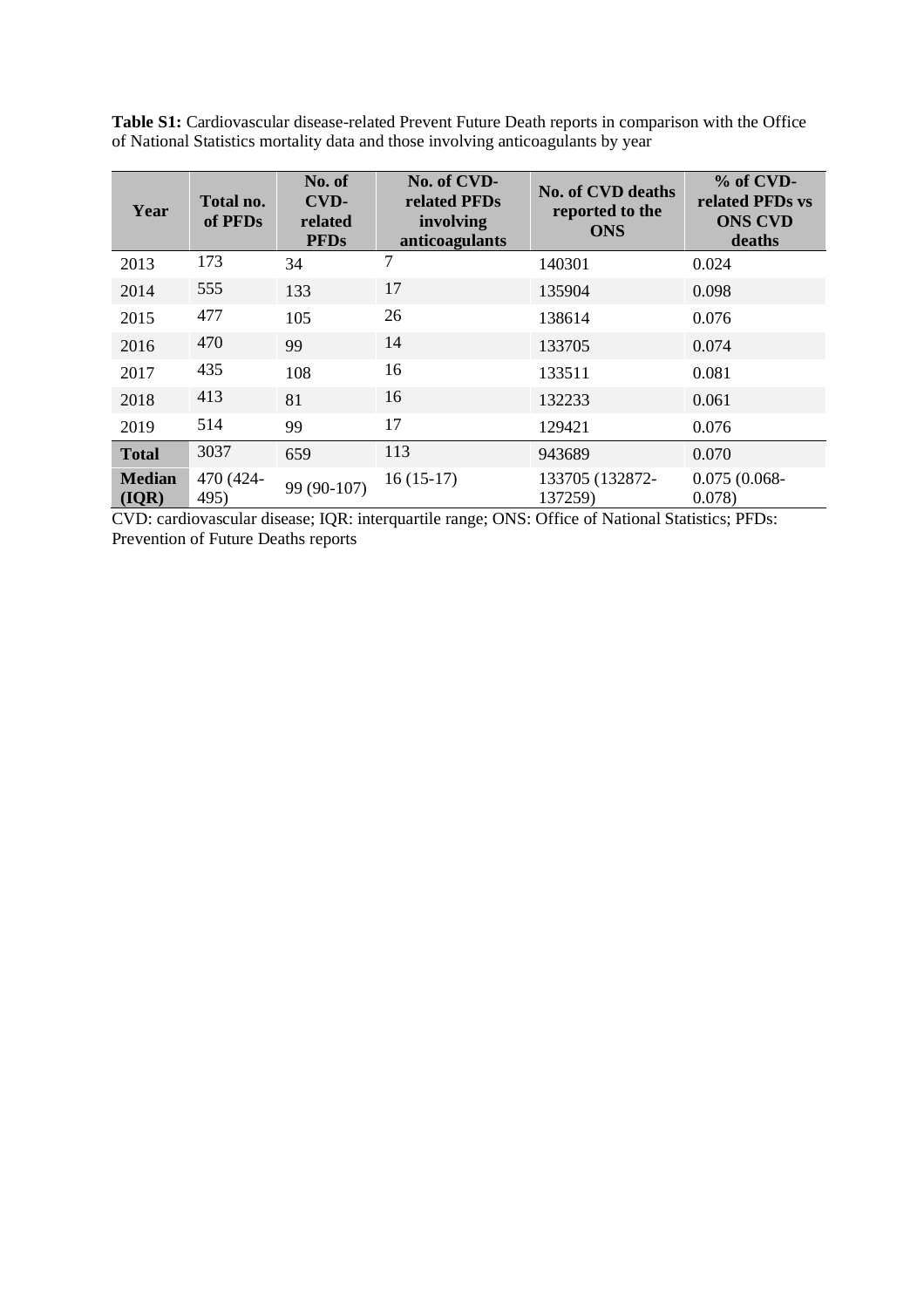| Year                   | Total no.<br>of PFDs | No. of<br>CVD-<br>related<br><b>PFDs</b> | No. of CVD-<br>related PFDs<br>involving<br>anticoagulants | <b>No. of CVD deaths</b><br>reported to the<br><b>ONS</b> | % of CVD-<br>related PFDs vs<br><b>ONS CVD</b><br>deaths |
|------------------------|----------------------|------------------------------------------|------------------------------------------------------------|-----------------------------------------------------------|----------------------------------------------------------|
| 2013                   | 173                  | 34                                       | 7                                                          | 140301                                                    | 0.024                                                    |
| 2014                   | 555                  | 133                                      | 17                                                         | 135904                                                    | 0.098                                                    |
| 2015                   | 477                  | 105                                      | 26                                                         | 138614                                                    | 0.076                                                    |
| 2016                   | 470                  | 99                                       | 14                                                         | 133705                                                    | 0.074                                                    |
| 2017                   | 435                  | 108                                      | 16                                                         | 133511                                                    | 0.081                                                    |
| 2018                   | 413                  | 81                                       | 16                                                         | 132233                                                    | 0.061                                                    |
| 2019                   | 514                  | 99                                       | 17                                                         | 129421                                                    | 0.076                                                    |
| <b>Total</b>           | 3037                 | 659                                      | 113                                                        | 943689                                                    | 0.070                                                    |
| <b>Median</b><br>(IQR) | 470 (424-<br>495)    | 99 (90-107)                              | $16(15-17)$                                                | 133705 (132872-<br>137259)                                | $0.075(0.068 -$<br>0.078                                 |

**Table S1:** Cardiovascular disease-related Prevent Future Death reports in comparison with the Office of National Statistics mortality data and those involving anticoagulants by year

CVD: cardiovascular disease; IQR: interquartile range; ONS: Office of National Statistics; PFDs: Prevention of Future Deaths reports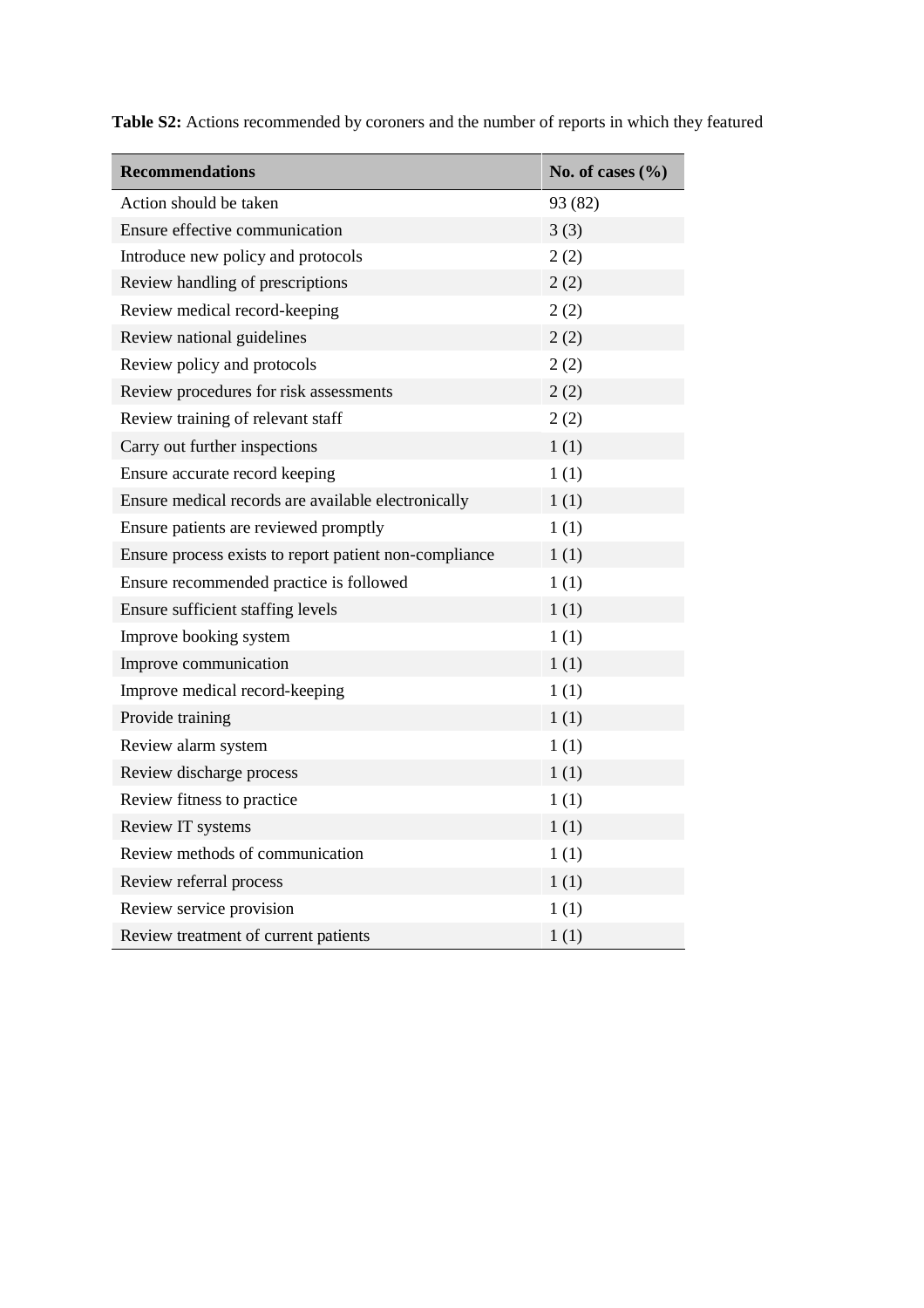| <b>Recommendations</b>                                 | No. of cases $(\%$ |
|--------------------------------------------------------|--------------------|
| Action should be taken                                 | 93 (82)            |
| Ensure effective communication                         | 3(3)               |
| Introduce new policy and protocols                     | 2(2)               |
| Review handling of prescriptions                       | 2(2)               |
| Review medical record-keeping                          | 2(2)               |
| Review national guidelines                             | 2(2)               |
| Review policy and protocols                            | 2(2)               |
| Review procedures for risk assessments                 | 2(2)               |
| Review training of relevant staff                      | 2(2)               |
| Carry out further inspections                          | 1(1)               |
| Ensure accurate record keeping                         | 1(1)               |
| Ensure medical records are available electronically    | 1(1)               |
| Ensure patients are reviewed promptly                  | 1(1)               |
| Ensure process exists to report patient non-compliance | 1(1)               |
| Ensure recommended practice is followed                | 1(1)               |
| Ensure sufficient staffing levels                      | 1(1)               |
| Improve booking system                                 | 1(1)               |
| Improve communication                                  | 1(1)               |
| Improve medical record-keeping                         | 1(1)               |
| Provide training                                       | 1(1)               |
| Review alarm system                                    | 1(1)               |
| Review discharge process                               | 1(1)               |
| Review fitness to practice                             | 1(1)               |
| Review IT systems                                      | 1(1)               |
| Review methods of communication                        | 1(1)               |
| Review referral process                                | 1(1)               |
| Review service provision                               | 1(1)               |
| Review treatment of current patients                   | 1(1)               |

**Table S2:** Actions recommended by coroners and the number of reports in which they featured